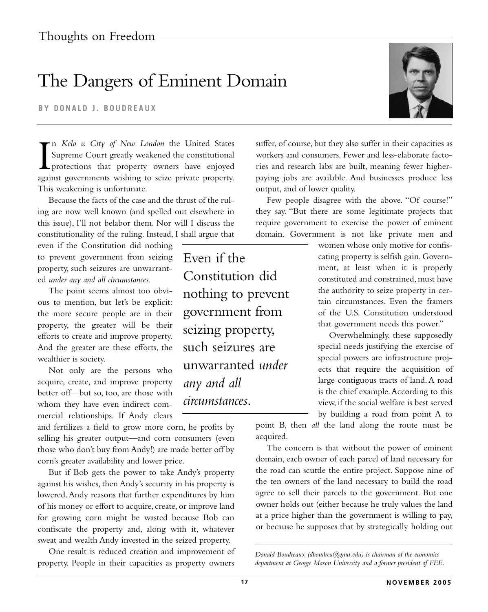## The Dangers of Eminent Domain

**BY DONALD J. BOUDREAUX**

 $\prod_{\text{area}}$ n *Kelo v. City of New London* the United States Supreme Court greatly weakened the constitutional protections that property owners have enjoyed against governments wishing to seize private property. This weakening is unfortunate.

Because the facts of the case and the thrust of the ruling are now well known (and spelled out elsewhere in this issue), I'll not belabor them. Nor will I discuss the constitutionality of the ruling. Instead, I shall argue that

even if the Constitution did nothing to prevent government from seizing property, such seizures are unwarranted *under any and all circumstances*.

The point seems almost too obvious to mention, but let's be explicit: the more secure people are in their property, the greater will be their efforts to create and improve property. And the greater are these efforts, the wealthier is society.

Not only are the persons who acquire, create, and improve property better off—but so, too, are those with whom they have even indirect commercial relationships. If Andy clears

and fertilizes a field to grow more corn, he profits by selling his greater output—and corn consumers (even those who don't buy from Andy!) are made better off by corn's greater availability and lower price.

But if Bob gets the power to take Andy's property against his wishes, then Andy's security in his property is lowered.Andy reasons that further expenditures by him of his money or effort to acquire, create, or improve land for growing corn might be wasted because Bob can confiscate the property and, along with it, whatever sweat and wealth Andy invested in the seized property.

One result is reduced creation and improvement of property. People in their capacities as property owners

Even if the Constitution did nothing to prevent government from seizing property, such seizures are unwarranted *under any and all circumstances*.



suffer, of course, but they also suffer in their capacities as workers and consumers. Fewer and less-elaborate factories and research labs are built, meaning fewer higherpaying jobs are available. And businesses produce less output, and of lower quality.

Few people disagree with the above. "Of course!" they say. "But there are some legitimate projects that require government to exercise the power of eminent domain. Government is not like private men and

> women whose only motive for confiscating property is selfish gain. Government, at least when it is properly constituted and constrained, must have the authority to seize property in certain circumstances. Even the framers of the U.S. Constitution understood that government needs this power."

> Overwhelmingly, these supposedly special needs justifying the exercise of special powers are infrastructure projects that require the acquisition of large contiguous tracts of land. A road is the chief example.According to this view, if the social welfare is best served by building a road from point A to

point B, then *all* the land along the route must be acquired.

The concern is that without the power of eminent domain, each owner of each parcel of land necessary for the road can scuttle the entire project. Suppose nine of the ten owners of the land necessary to build the road agree to sell their parcels to the government. But one owner holds out (either because he truly values the land at a price higher than the government is willing to pay, or because he supposes that by strategically holding out

*Donald Boudreaux (dboudrea@gmu.edu) is chairman of the economics department at George Mason University and a former president of FEE.*